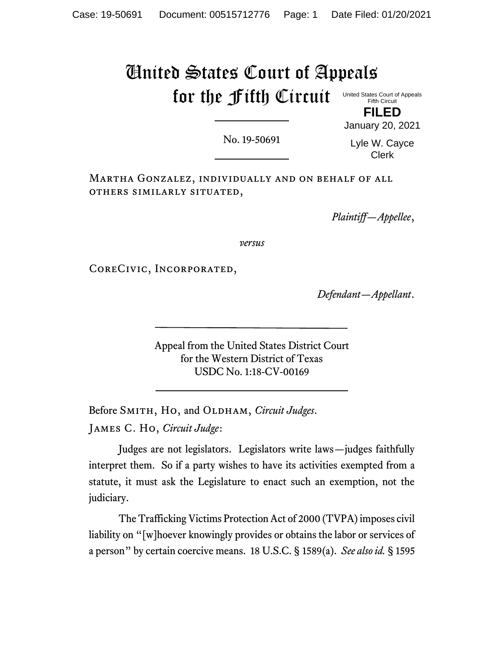# United States Court of Appeals for the Fifth Circuit

United States Court of Appeals Fifth Circuit **FILED**

No. 19-50691

Lyle W. Cayce Clerk

January 20, 2021

Martha Gonzalez, individually and on behalf of all others similarly situated,

*Plaintiff—Appellee*,

*versus*

CoreCivic, Incorporated,

*Defendant—Appellant*.

Appeal from the United States District Court for the Western District of Texas USDC No. 1:18-CV-00169

Before SMITH, Ho, and OLDHAM, *Circuit Judges*. James C. Ho, *Circuit Judge*:

Judges are not legislators. Legislators write laws—judges faithfully interpret them. So if a party wishes to have its activities exempted from a statute, it must ask the Legislature to enact such an exemption, not the judiciary.

The Trafficking Victims Protection Act of 2000 (TVPA) imposes civil liability on "[w]hoever knowingly provides or obtains the labor or services of a person" by certain coercive means. 18 U.S.C. § 1589(a). *See also id.* § 1595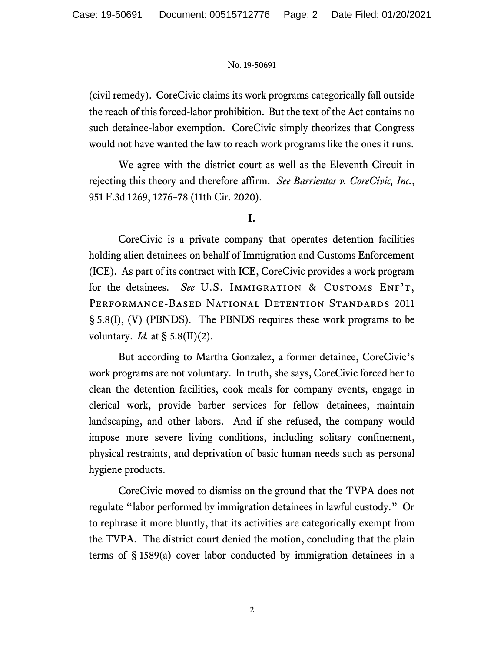(civil remedy). CoreCivic claims its work programs categorically fall outside the reach of this forced-labor prohibition. But the text of the Act contains no such detainee-labor exemption. CoreCivic simply theorizes that Congress would not have wanted the law to reach work programs like the ones it runs.

We agree with the district court as well as the Eleventh Circuit in rejecting this theory and therefore affirm. *See Barrientos v. CoreCivic, Inc.*, 951 F.3d 1269, 1276–78 (11th Cir. 2020).

**I.**

CoreCivic is a private company that operates detention facilities holding alien detainees on behalf of Immigration and Customs Enforcement (ICE). As part of its contract with ICE, CoreCivic provides a work program for the detainees. *See* U.S. IMMIGRATION & CUSTOMS ENF'T, Performance-Based National Detention Standards 2011 § 5.8(I), (V) (PBNDS). The PBNDS requires these work programs to be voluntary. *Id.* at § 5.8(II)(2).

But according to Martha Gonzalez, a former detainee, CoreCivic's work programs are not voluntary. In truth, she says, CoreCivic forced her to clean the detention facilities, cook meals for company events, engage in clerical work, provide barber services for fellow detainees, maintain landscaping, and other labors. And if she refused, the company would impose more severe living conditions, including solitary confinement, physical restraints, and deprivation of basic human needs such as personal hygiene products.

CoreCivic moved to dismiss on the ground that the TVPA does not regulate "labor performed by immigration detainees in lawful custody." Or to rephrase it more bluntly, that its activities are categorically exempt from the TVPA. The district court denied the motion, concluding that the plain terms of § 1589(a) cover labor conducted by immigration detainees in a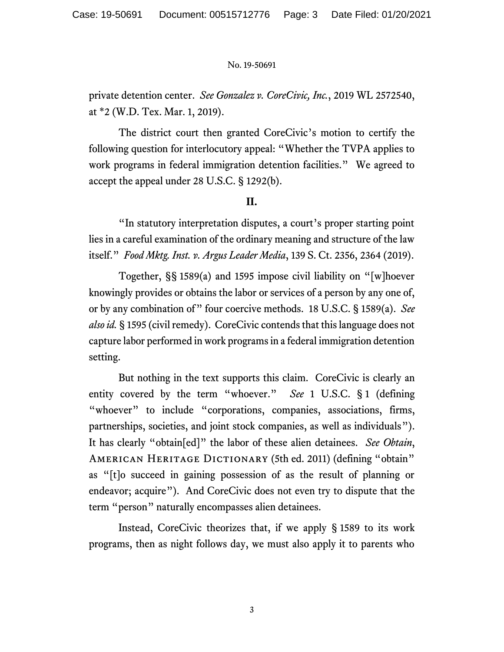private detention center. *See Gonzalez v. CoreCivic, Inc.*, 2019 WL 2572540, at \*2 (W.D. Tex. Mar. 1, 2019).

The district court then granted CoreCivic's motion to certify the following question for interlocutory appeal: "Whether the TVPA applies to work programs in federal immigration detention facilities." We agreed to accept the appeal under 28 U.S.C. § 1292(b).

## **II.**

"In statutory interpretation disputes, a court's proper starting point lies in a careful examination of the ordinary meaning and structure of the law itself." *Food Mktg. Inst. v. Argus Leader Media*, 139 S. Ct. 2356, 2364 (2019).

Together, §§ 1589(a) and 1595 impose civil liability on "[w]hoever knowingly provides or obtains the labor or services of a person by any one of, or by any combination of" four coercive methods. 18 U.S.C. § 1589(a). *See alsoid.* § 1595 (civil remedy). CoreCivic contends that this language does not capture labor performed in work programs in a federal immigration detention setting.

But nothing in the text supports this claim. CoreCivic is clearly an entity covered by the term "whoever." *See* 1 U.S.C. § 1 (defining "whoever" to include "corporations, companies, associations, firms, partnerships, societies, and joint stock companies, as well as individuals"). It has clearly "obtain[ed]" the labor of these alien detainees. *See Obtain*, AMERICAN HERITAGE DICTIONARY (5th ed. 2011) (defining "obtain" as "[t]o succeed in gaining possession of as the result of planning or endeavor; acquire"). And CoreCivic does not even try to dispute that the term "person" naturally encompasses alien detainees.

Instead, CoreCivic theorizes that, if we apply § 1589 to its work programs, then as night follows day, we must also apply it to parents who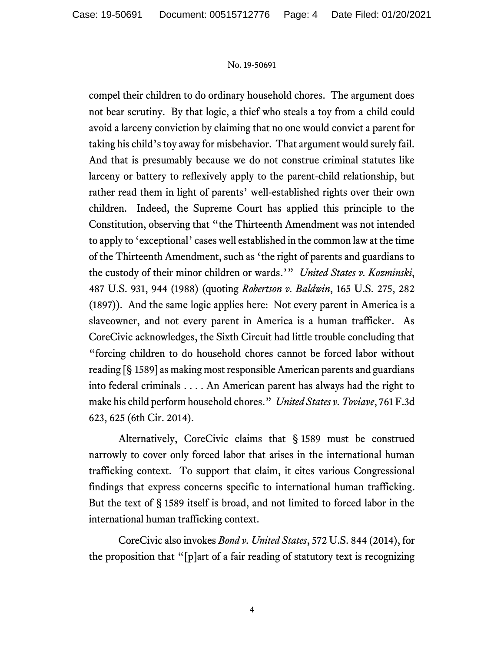compel their children to do ordinary household chores. The argument does not bear scrutiny. By that logic, a thief who steals a toy from a child could avoid a larceny conviction by claiming that no one would convict a parent for taking his child's toy away for misbehavior. That argument would surely fail. And that is presumably because we do not construe criminal statutes like larceny or battery to reflexively apply to the parent-child relationship, but rather read them in light of parents' well-established rights over their own children. Indeed, the Supreme Court has applied this principle to the Constitution, observing that "the Thirteenth Amendment was not intended to apply to 'exceptional' cases well established in the common law at the time of the Thirteenth Amendment, such as 'the right of parents and guardians to the custody of their minor children or wards.'" *United States v. Kozminski*, 487 U.S. 931, 944 (1988) (quoting *Robertson v. Baldwin*, 165 U.S. 275, 282 (1897)). And the same logic applies here: Not every parent in America is a slaveowner, and not every parent in America is a human trafficker. As CoreCivic acknowledges, the Sixth Circuit had little trouble concluding that "forcing children to do household chores cannot be forced labor without reading [§ 1589] as making most responsible American parents and guardians into federal criminals . . . . An American parent has always had the right to make his child perform household chores." *United States v. Toviave*, 761 F.3d 623, 625 (6th Cir. 2014).

Alternatively, CoreCivic claims that § 1589 must be construed narrowly to cover only forced labor that arises in the international human trafficking context. To support that claim, it cites various Congressional findings that express concerns specific to international human trafficking. But the text of § 1589 itself is broad, and not limited to forced labor in the international human trafficking context.

CoreCivic also invokes *Bond v. United States*, 572 U.S. 844 (2014), for the proposition that "[p]art of a fair reading of statutory text is recognizing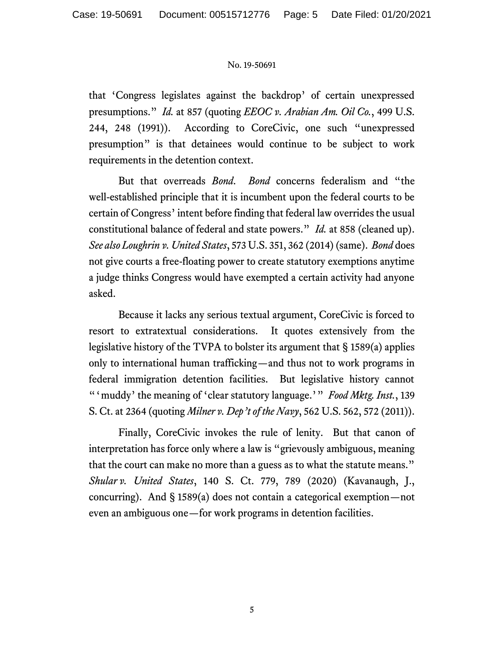that 'Congress legislates against the backdrop' of certain unexpressed presumptions." *Id.* at 857 (quoting *EEOC v. Arabian Am. Oil Co.*, 499 U.S. 244, 248 (1991)). According to CoreCivic, one such "unexpressed presumption" is that detainees would continue to be subject to work requirements in the detention context.

But that overreads *Bond*. *Bond* concerns federalism and "the well-established principle that it is incumbent upon the federal courts to be certain of Congress' intent before finding that federal law overrides the usual constitutional balance of federal and state powers." *Id.* at 858 (cleaned up). *See also Loughrin v. United States*, 573 U.S. 351, 362 (2014) (same). *Bond* does not give courts a free-floating power to create statutory exemptions anytime a judge thinks Congress would have exempted a certain activity had anyone asked.

Because it lacks any serious textual argument, CoreCivic is forced to resort to extratextual considerations. It quotes extensively from the legislative history of the TVPA to bolster its argument that § 1589(a) applies only to international human trafficking—and thus not to work programs in federal immigration detention facilities. But legislative history cannot "'muddy' the meaning of 'clear statutory language.'" *Food Mktg. Inst.*, 139 S. Ct. at 2364 (quoting *Milner v. Dep't of the Navy*, 562 U.S. 562, 572 (2011)).

Finally, CoreCivic invokes the rule of lenity. But that canon of interpretation has force only where a law is "grievously ambiguous, meaning that the court can make no more than a guess as to what the statute means." *Shular v. United States*, 140 S. Ct. 779, 789 (2020) (Kavanaugh, J., concurring). And § 1589(a) does not contain a categorical exemption—not even an ambiguous one—for work programs in detention facilities.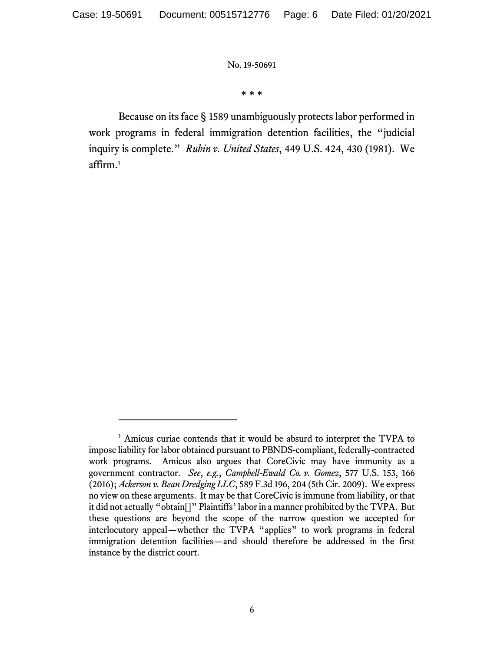**\* \* \***

Because on its face § 1589 unambiguously protects labor performed in work programs in federal immigration detention facilities, the "judicial inquiry is complete." *Rubin v. United States*, 449 U.S. 424, 430 (1981). We affirm.<sup>1</sup>

<sup>&</sup>lt;sup>1</sup> Amicus curiae contends that it would be absurd to interpret the TVPA to impose liability for labor obtained pursuant to PBNDS-compliant, federally-contracted work programs. Amicus also argues that CoreCivic may have immunity as a government contractor. *See*, *e.g.*, *Campbell-Ewald Co. v. Gomez*, 577 U.S. 153, 166 (2016); *Ackerson v. Bean Dredging LLC*, 589 F.3d 196, 204 (5th Cir. 2009). We express no view on these arguments. It may be that CoreCivic is immune from liability, or that it did not actually "obtain[]" Plaintiffs' labor in a manner prohibited by the TVPA. But these questions are beyond the scope of the narrow question we accepted for interlocutory appeal—whether the TVPA "applies" to work programs in federal immigration detention facilities—and should therefore be addressed in the first instance by the district court.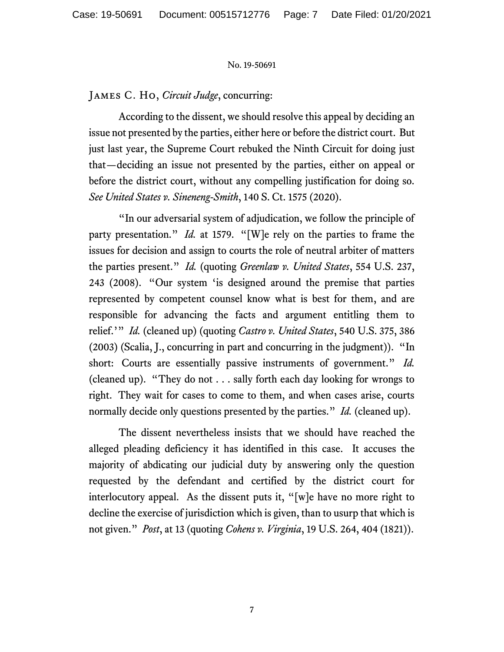# James C. Ho, *Circuit Judge*, concurring:

According to the dissent, we should resolve this appeal by deciding an issue not presented by the parties, either here or before the district court. But just last year, the Supreme Court rebuked the Ninth Circuit for doing just that—deciding an issue not presented by the parties, either on appeal or before the district court, without any compelling justification for doing so. *See United States v. Sineneng-Smith*, 140 S. Ct. 1575 (2020).

"In our adversarial system of adjudication, we follow the principle of party presentation." *Id.* at 1579. "[W]e rely on the parties to frame the issues for decision and assign to courts the role of neutral arbiter of matters the parties present." *Id.* (quoting *Greenlaw v. United States*, 554 U.S. 237, 243 (2008). "Our system 'is designed around the premise that parties represented by competent counsel know what is best for them, and are responsible for advancing the facts and argument entitling them to relief.'" *Id.* (cleaned up) (quoting *Castro v. United States*, 540 U.S. 375, 386 (2003) (Scalia, J., concurring in part and concurring in the judgment)). "In short: Courts are essentially passive instruments of government." *Id.* (cleaned up). "They do not . . . sally forth each day looking for wrongs to right. They wait for cases to come to them, and when cases arise, courts normally decide only questions presented by the parties." *Id.* (cleaned up).

The dissent nevertheless insists that we should have reached the alleged pleading deficiency it has identified in this case. It accuses the majority of abdicating our judicial duty by answering only the question requested by the defendant and certified by the district court for interlocutory appeal. As the dissent puts it, "[w]e have no more right to decline the exercise of jurisdiction which is given, than to usurp that which is not given." *Post*, at 13 (quoting *Cohens v. Virginia*, 19 U.S. 264, 404 (1821)).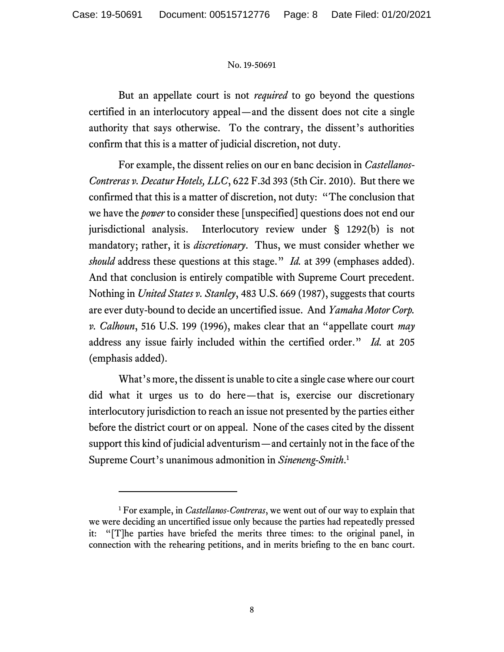But an appellate court is not *required* to go beyond the questions certified in an interlocutory appeal—and the dissent does not cite a single authority that says otherwise. To the contrary, the dissent's authorities confirm that this is a matter of judicial discretion, not duty.

For example, the dissent relies on our en banc decision in *Castellanos-Contreras v. Decatur Hotels, LLC*, 622 F.3d 393 (5th Cir. 2010). But there we confirmed that this is a matter of discretion, not duty: "The conclusion that we have the *power* to consider these [unspecified] questions does not end our jurisdictional analysis. Interlocutory review under § 1292(b) is not mandatory; rather, it is *discretionary*. Thus, we must consider whether we *should* address these questions at this stage." *Id.* at 399 (emphases added). And that conclusion is entirely compatible with Supreme Court precedent. Nothing in *United States v. Stanley*, 483 U.S. 669 (1987), suggests that courts are ever duty-bound to decide an uncertified issue. And *Yamaha Motor Corp. v. Calhoun*, 516 U.S. 199 (1996), makes clear that an "appellate court *may* address any issue fairly included within the certified order." *Id.* at 205 (emphasis added).

What's more, the dissent is unable to cite a single case where our court did what it urges us to do here—that is, exercise our discretionary interlocutory jurisdiction to reach an issue not presented by the parties either before the district court or on appeal. None of the cases cited by the dissent support this kind of judicial adventurism—and certainly not in the face of the Supreme Court's unanimous admonition in *Sineneng-Smith*. 1

<sup>1</sup> For example, in *Castellanos-Contreras*, we went out of our way to explain that we were deciding an uncertified issue only because the parties had repeatedly pressed it: "[T]he parties have briefed the merits three times: to the original panel, in connection with the rehearing petitions, and in merits briefing to the en banc court.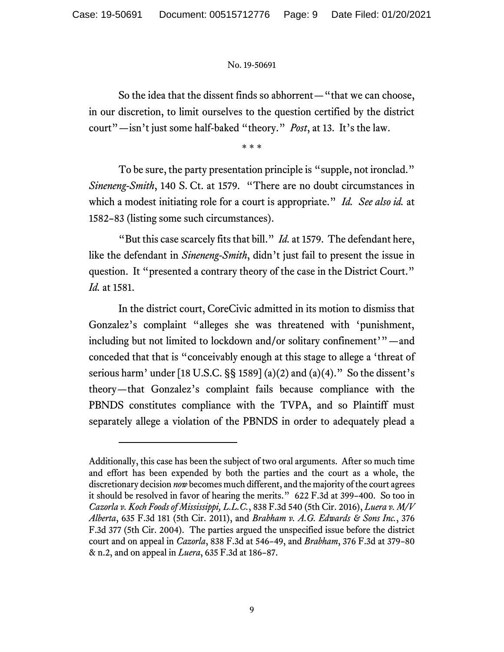So the idea that the dissent finds so abhorrent—"that we can choose, in our discretion, to limit ourselves to the question certified by the district court"—isn't just some half-baked "theory." *Post*, at 13. It's the law.

\* \* \*

To be sure, the party presentation principle is "supple, not ironclad." *Sineneng-Smith*, 140 S. Ct. at 1579. "There are no doubt circumstances in which a modest initiating role for a court is appropriate." *Id. See also id.* at 1582–83 (listing some such circumstances).

"But this case scarcely fits that bill." *Id.* at 1579. The defendant here, like the defendant in *Sineneng-Smith*, didn't just fail to present the issue in question. It "presented a contrary theory of the case in the District Court." *Id.* at 1581.

In the district court, CoreCivic admitted in its motion to dismiss that Gonzalez's complaint "alleges she was threatened with 'punishment, including but not limited to lockdown and/or solitary confinement'"—and conceded that that is "conceivably enough at this stage to allege a 'threat of serious harm' under [18 U.S.C. §§ 1589] (a)(2) and (a)(4)." So the dissent's theory—that Gonzalez's complaint fails because compliance with the PBNDS constitutes compliance with the TVPA, and so Plaintiff must separately allege a violation of the PBNDS in order to adequately plead a

Additionally, this case has been the subject of two oral arguments. After so much time and effort has been expended by both the parties and the court as a whole, the discretionary decision *now* becomes much different, and the majority of the court agrees it should be resolved in favor of hearing the merits." 622 F.3d at 399–400. So too in *Cazorla v. Koch Foods of Mississippi, L.L.C.*, 838 F.3d 540 (5th Cir. 2016), *Luera v. M/V Alberta*, 635 F.3d 181 (5th Cir. 2011), and *Brabham v. A.G. Edwards & Sons Inc.*, 376 F.3d 377 (5th Cir. 2004). The parties argued the unspecified issue before the district court and on appeal in *Cazorla*, 838 F.3d at 546–49, and *Brabham*, 376 F.3d at 379–80 & n.2, and on appeal in *Luera*, 635 F.3d at 186–87.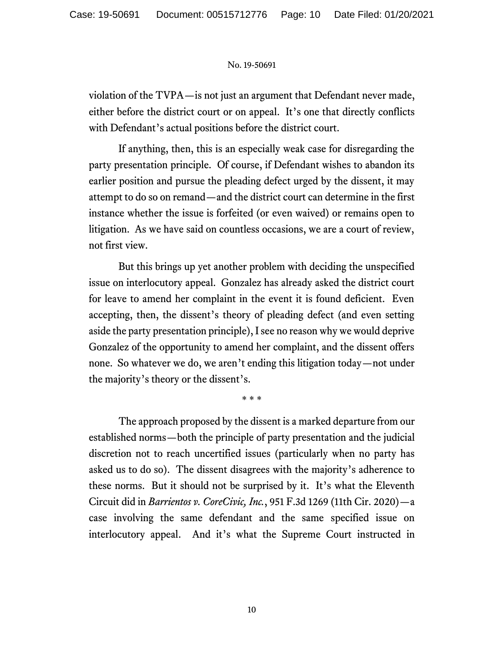violation of the TVPA—is not just an argument that Defendant never made, either before the district court or on appeal. It's one that directly conflicts with Defendant's actual positions before the district court.

If anything, then, this is an especially weak case for disregarding the party presentation principle. Of course, if Defendant wishes to abandon its earlier position and pursue the pleading defect urged by the dissent, it may attempt to do so on remand—and the district court can determine in the first instance whether the issue is forfeited (or even waived) or remains open to litigation. As we have said on countless occasions, we are a court of review, not first view.

But this brings up yet another problem with deciding the unspecified issue on interlocutory appeal. Gonzalez has already asked the district court for leave to amend her complaint in the event it is found deficient. Even accepting, then, the dissent's theory of pleading defect (and even setting aside the party presentation principle), I see no reason why we would deprive Gonzalez of the opportunity to amend her complaint, and the dissent offers none. So whatever we do, we aren't ending this litigation today—not under the majority's theory or the dissent's.

\* \* \*

The approach proposed by the dissent is a marked departure from our established norms—both the principle of party presentation and the judicial discretion not to reach uncertified issues (particularly when no party has asked us to do so). The dissent disagrees with the majority's adherence to these norms. But it should not be surprised by it. It's what the Eleventh Circuit did in *Barrientos v. CoreCivic, Inc.*, 951 F.3d 1269 (11th Cir. 2020)—a case involving the same defendant and the same specified issue on interlocutory appeal. And it's what the Supreme Court instructed in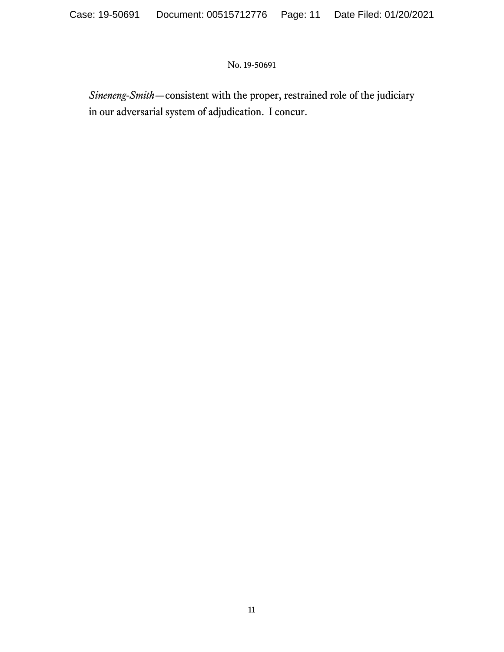*Sineneng-Smith*—consistent with the proper, restrained role of the judiciary in our adversarial system of adjudication. I concur.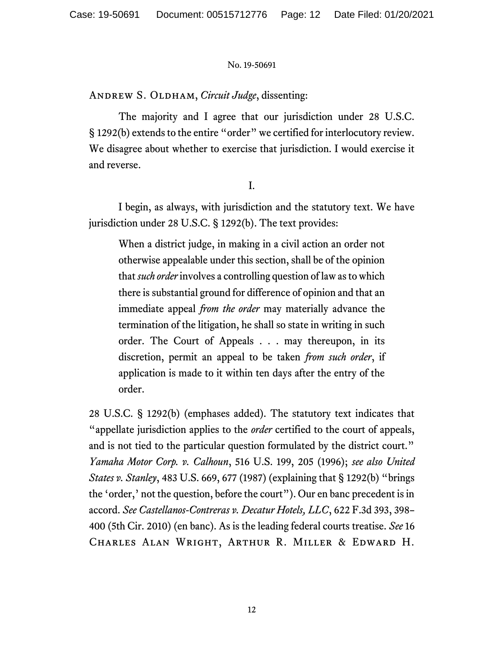ANDREW S. OLDHAM, *Circuit Judge*, dissenting:

The majority and I agree that our jurisdiction under 28 U.S.C. § 1292(b) extends to the entire "order" we certified for interlocutory review. We disagree about whether to exercise that jurisdiction. I would exercise it and reverse.

I.

I begin, as always, with jurisdiction and the statutory text. We have jurisdiction under 28 U.S.C. § 1292(b). The text provides:

When a district judge, in making in a civil action an order not otherwise appealable under this section, shall be of the opinion that *such order*involves a controlling question of law as to which there is substantial ground for difference of opinion and that an immediate appeal *from the order* may materially advance the termination of the litigation, he shall so state in writing in such order. The Court of Appeals . . . may thereupon, in its discretion, permit an appeal to be taken *from such order*, if application is made to it within ten days after the entry of the order.

28 U.S.C. § 1292(b) (emphases added). The statutory text indicates that "appellate jurisdiction applies to the *order* certified to the court of appeals, and is not tied to the particular question formulated by the district court." *Yamaha Motor Corp. v. Calhoun*, 516 U.S. 199, 205 (1996); *see also United States v. Stanley*, 483 U.S. 669, 677 (1987) (explaining that § 1292(b) "brings the 'order,' not the question, before the court"). Our en banc precedent is in accord. *See Castellanos-Contreras v. Decatur Hotels, LLC*, 622 F.3d 393, 398– 400 (5th Cir. 2010) (en banc). As is the leading federal courts treatise. *See* 16 Charles Alan Wright, Arthur R. Miller & Edward H.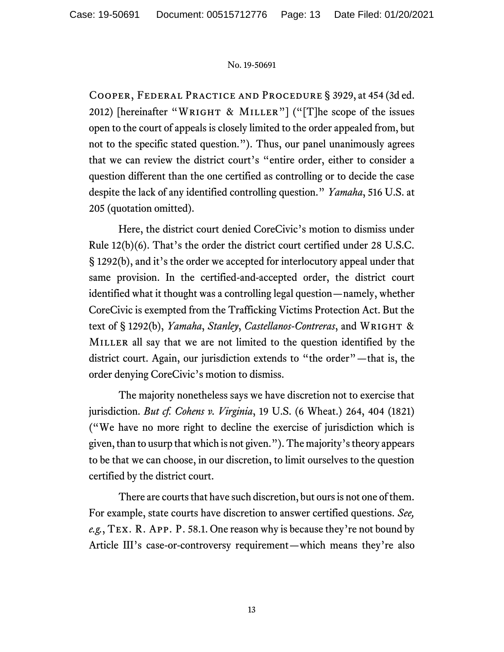Cooper, Federal Practice and Procedure § 3929, at 454 (3d ed. 2012) [hereinafter "WRIGHT & MILLER"] ("[T]he scope of the issues open to the court of appeals is closely limited to the order appealed from, but not to the specific stated question."). Thus, our panel unanimously agrees that we can review the district court's "entire order, either to consider a question different than the one certified as controlling or to decide the case despite the lack of any identified controlling question." *Yamaha*, 516 U.S. at 205 (quotation omitted).

Here, the district court denied CoreCivic's motion to dismiss under Rule 12(b)(6). That's the order the district court certified under 28 U.S.C. § 1292(b), and it's the order we accepted for interlocutory appeal under that same provision. In the certified-and-accepted order, the district court identified what it thought was a controlling legal question—namely, whether CoreCivic is exempted from the Trafficking Victims Protection Act. But the text of § 1292(b), *Yamaha*, *Stanley*, *Castellanos-Contreras*, and Wright & MILLER all say that we are not limited to the question identified by the district court. Again, our jurisdiction extends to "the order"—that is, the order denying CoreCivic's motion to dismiss.

The majority nonetheless says we have discretion not to exercise that jurisdiction. *But cf. Cohens v. Virginia*, 19 U.S. (6 Wheat.) 264, 404 (1821) ("We have no more right to decline the exercise of jurisdiction which is given, than to usurp that which is not given."). The majority's theory appears to be that we can choose, in our discretion, to limit ourselves to the question certified by the district court.

There are courts that have such discretion, but ours is not one of them. For example, state courts have discretion to answer certified questions. *See, e.g.*, Tex. R. App. P. 58.1. One reason why is because they're not bound by Article III's case-or-controversy requirement—which means they're also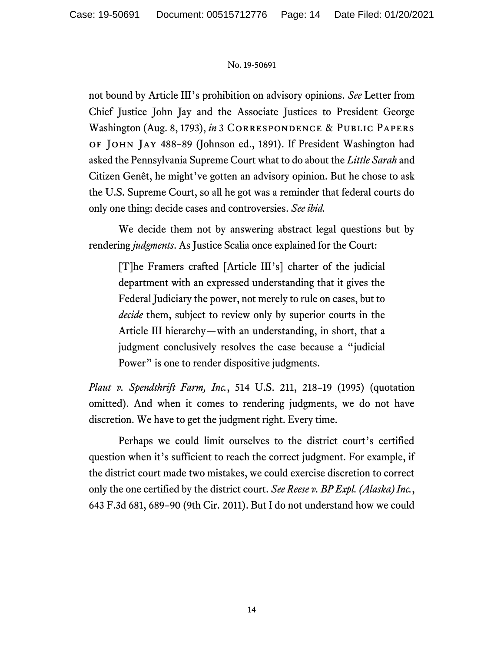not bound by Article III's prohibition on advisory opinions. *See* Letter from Chief Justice John Jay and the Associate Justices to President George Washington (Aug. 8, 1793), *in* 3 Correspondence & Public Papers of John Jay 488–89 (Johnson ed., 1891). If President Washington had asked the Pennsylvania Supreme Court what to do about the *Little Sarah* and Citizen Genêt, he might've gotten an advisory opinion. But he chose to ask the U.S. Supreme Court, so all he got was a reminder that federal courts do only one thing: decide cases and controversies. *See ibid.*

We decide them not by answering abstract legal questions but by rendering *judgments*. As Justice Scalia once explained for the Court:

[T]he Framers crafted [Article III's] charter of the judicial department with an expressed understanding that it gives the Federal Judiciary the power, not merely to rule on cases, but to *decide* them, subject to review only by superior courts in the Article III hierarchy—with an understanding, in short, that a judgment conclusively resolves the case because a "judicial Power" is one to render dispositive judgments.

*Plaut v. Spendthrift Farm, Inc.*, 514 U.S. 211, 218–19 (1995) (quotation omitted). And when it comes to rendering judgments, we do not have discretion. We have to get the judgment right. Every time.

Perhaps we could limit ourselves to the district court's certified question when it's sufficient to reach the correct judgment. For example, if the district court made two mistakes, we could exercise discretion to correct only the one certified by the district court. *See Reese v. BP Expl. (Alaska) Inc.*, 643 F.3d 681, 689–90 (9th Cir. 2011). But I do not understand how we could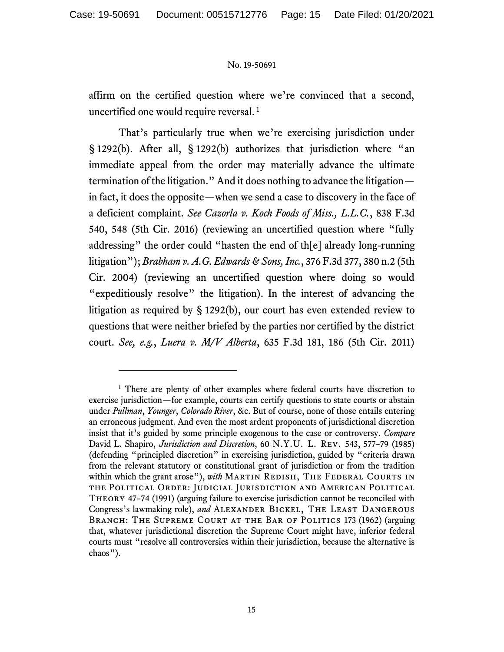affirm on the certified question where we're convinced that a second, uncertified one would require reversal. <sup>1</sup>

That's particularly true when we're exercising jurisdiction under § 1292(b). After all, § 1292(b) authorizes that jurisdiction where "an immediate appeal from the order may materially advance the ultimate termination of the litigation." And it does nothing to advance the litigation in fact, it does the opposite—when we send a case to discovery in the face of a deficient complaint. *See Cazorla v. Koch Foods of Miss., L.L.C.*, 838 F.3d 540, 548 (5th Cir. 2016) (reviewing an uncertified question where "fully addressing" the order could "hasten the end of th[e] already long-running litigation"); *Brabham v. A.G. Edwards & Sons, Inc.*, 376 F.3d 377, 380 n.2 (5th Cir. 2004) (reviewing an uncertified question where doing so would "expeditiously resolve" the litigation). In the interest of advancing the litigation as required by § 1292(b), our court has even extended review to questions that were neither briefed by the parties nor certified by the district court. *See, e.g.*, *Luera v. M/V Alberta*, 635 F.3d 181, 186 (5th Cir. 2011)

<sup>&</sup>lt;sup>1</sup> There are plenty of other examples where federal courts have discretion to exercise jurisdiction—for example, courts can certify questions to state courts or abstain under *Pullman*, *Younger*, *Colorado River*, &c. But of course, none of those entails entering an erroneous judgment. And even the most ardent proponents of jurisdictional discretion insist that it's guided by some principle exogenous to the case or controversy. *Compare* David L. Shapiro, *Jurisdiction and Discretion*, 60 N.Y.U. L. Rev. 543, 577–79 (1985) (defending "principled discretion" in exercising jurisdiction, guided by "criteria drawn from the relevant statutory or constitutional grant of jurisdiction or from the tradition within which the grant arose"), *with* MARTIN REDISH, THE FEDERAL COURTS IN the Political Order: Judicial Jurisdiction and American Political Theory 47–74 (1991) (arguing failure to exercise jurisdiction cannot be reconciled with Congress's lawmaking role), *and* Alexander Bickel, The Least Dangerous BRANCH: THE SUPREME COURT AT THE BAR OF POLITICS 173 (1962) (arguing that, whatever jurisdictional discretion the Supreme Court might have, inferior federal courts must "resolve all controversies within their jurisdiction, because the alternative is chaos").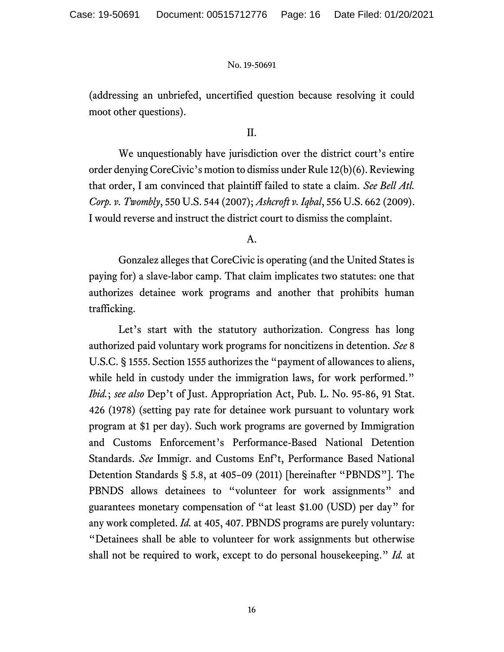(addressing an unbriefed, uncertified question because resolving it could moot other questions).

## II.

We unquestionably have jurisdiction over the district court's entire order denying CoreCivic's motion to dismiss under Rule 12(b)(6). Reviewing that order, I am convinced that plaintiff failed to state a claim. *See Bell Atl. Corp. v. Twombly*, 550 U.S. 544 (2007); *Ashcroft v. Iqbal*, 556 U.S. 662 (2009). I would reverse and instruct the district court to dismiss the complaint.

### A.

Gonzalez alleges that CoreCivic is operating (and the United States is paying for) a slave-labor camp. That claim implicates two statutes: one that authorizes detainee work programs and another that prohibits human trafficking.

Let's start with the statutory authorization. Congress has long authorized paid voluntary work programs for noncitizens in detention. *See* 8 U.S.C. § 1555. Section 1555 authorizes the "payment of allowances to aliens, while held in custody under the immigration laws, for work performed." *Ibid.*; *see also* Dep't of Just. Appropriation Act, Pub. L. No. 95-86, 91 Stat. 426 (1978) (setting pay rate for detainee work pursuant to voluntary work program at \$1 per day). Such work programs are governed by Immigration and Customs Enforcement's Performance-Based National Detention Standards. *See* Immigr. and Customs Enf't, Performance Based National Detention Standards § 5.8, at 405–09 (2011) [hereinafter "PBNDS"]. The PBNDS allows detainees to "volunteer for work assignments" and guarantees monetary compensation of "at least \$1.00 (USD) per day" for any work completed. *Id.* at 405, 407. PBNDS programs are purely voluntary: "Detainees shall be able to volunteer for work assignments but otherwise shall not be required to work, except to do personal housekeeping." *Id.* at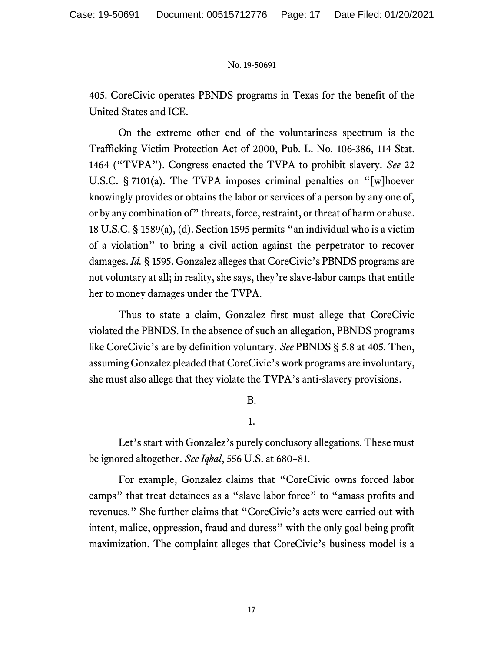405. CoreCivic operates PBNDS programs in Texas for the benefit of the United States and ICE.

On the extreme other end of the voluntariness spectrum is the Trafficking Victim Protection Act of 2000, Pub. L. No. 106-386, 114 Stat. 1464 ("TVPA"). Congress enacted the TVPA to prohibit slavery. *See* 22 U.S.C. § 7101(a). The TVPA imposes criminal penalties on "[w]hoever knowingly provides or obtains the labor or services of a person by any one of, or by any combination of" threats, force, restraint, or threat of harm or abuse. 18 U.S.C. § 1589(a), (d). Section 1595 permits "an individual who is a victim of a violation" to bring a civil action against the perpetrator to recover damages. *Id.* § 1595. Gonzalez alleges that CoreCivic's PBNDS programs are not voluntary at all; in reality, she says, they're slave-labor camps that entitle her to money damages under the TVPA.

Thus to state a claim, Gonzalez first must allege that CoreCivic violated the PBNDS. In the absence of such an allegation, PBNDS programs like CoreCivic's are by definition voluntary. *See* PBNDS § 5.8 at 405. Then, assuming Gonzalez pleaded that CoreCivic's work programs are involuntary, she must also allege that they violate the TVPA's anti-slavery provisions.

# B.

1.

Let's start with Gonzalez's purely conclusory allegations. These must be ignored altogether. *See Iqbal*, 556 U.S. at 680–81.

For example, Gonzalez claims that "CoreCivic owns forced labor camps" that treat detainees as a "slave labor force" to "amass profits and revenues." She further claims that "CoreCivic's acts were carried out with intent, malice, oppression, fraud and duress" with the only goal being profit maximization. The complaint alleges that CoreCivic's business model is a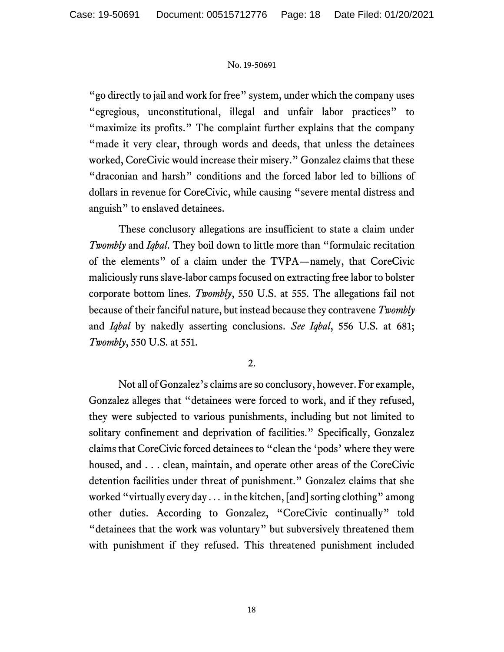"go directly to jail and work for free" system, under which the company uses "egregious, unconstitutional, illegal and unfair labor practices" to "maximize its profits." The complaint further explains that the company "made it very clear, through words and deeds, that unless the detainees worked, CoreCivic would increase their misery." Gonzalez claims that these "draconian and harsh" conditions and the forced labor led to billions of dollars in revenue for CoreCivic, while causing "severe mental distress and anguish" to enslaved detainees.

These conclusory allegations are insufficient to state a claim under *Twombly* and *Iqbal*. They boil down to little more than "formulaic recitation of the elements" of a claim under the TVPA—namely, that CoreCivic maliciously runs slave-labor camps focused on extracting free labor to bolster corporate bottom lines. *Twombly*, 550 U.S. at 555. The allegations fail not because of their fanciful nature, but instead because they contravene *Twombly* and *Iqbal* by nakedly asserting conclusions. *See Iqbal*, 556 U.S. at 681; *Twombly*, 550 U.S. at 551.

## 2.

Not all of Gonzalez's claims are so conclusory, however. For example, Gonzalez alleges that "detainees were forced to work, and if they refused, they were subjected to various punishments, including but not limited to solitary confinement and deprivation of facilities." Specifically, Gonzalez claims that CoreCivic forced detainees to "clean the 'pods' where they were housed, and . . . clean, maintain, and operate other areas of the CoreCivic detention facilities under threat of punishment." Gonzalez claims that she worked "virtually every day . . . in the kitchen, [and] sorting clothing" among other duties. According to Gonzalez, "CoreCivic continually" told "detainees that the work was voluntary" but subversively threatened them with punishment if they refused. This threatened punishment included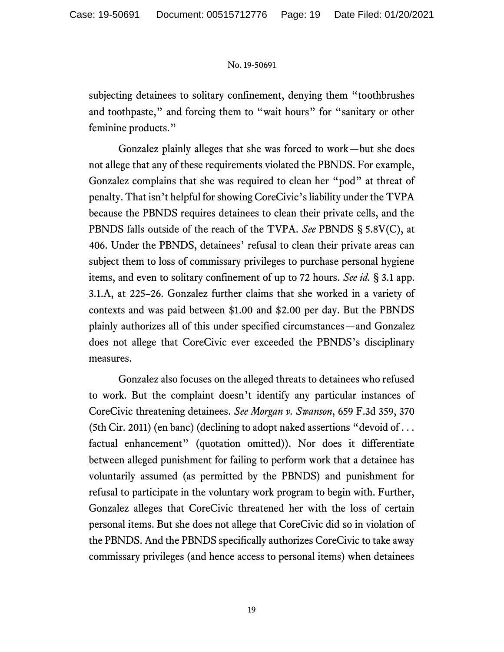subjecting detainees to solitary confinement, denying them "toothbrushes and toothpaste," and forcing them to "wait hours" for "sanitary or other feminine products."

Gonzalez plainly alleges that she was forced to work—but she does not allege that any of these requirements violated the PBNDS. For example, Gonzalez complains that she was required to clean her "pod" at threat of penalty. That isn't helpful for showing CoreCivic's liability under the TVPA because the PBNDS requires detainees to clean their private cells, and the PBNDS falls outside of the reach of the TVPA. *See* PBNDS § 5.8V(C), at 406. Under the PBNDS, detainees' refusal to clean their private areas can subject them to loss of commissary privileges to purchase personal hygiene items, and even to solitary confinement of up to 72 hours. *See id.* § 3.1 app. 3.1.A, at 225–26. Gonzalez further claims that she worked in a variety of contexts and was paid between \$1.00 and \$2.00 per day. But the PBNDS plainly authorizes all of this under specified circumstances—and Gonzalez does not allege that CoreCivic ever exceeded the PBNDS's disciplinary measures.

Gonzalez also focuses on the alleged threats to detainees who refused to work. But the complaint doesn't identify any particular instances of CoreCivic threatening detainees. *See Morgan v. Swanson*, 659 F.3d 359, 370 (5th Cir. 2011) (en banc) (declining to adopt naked assertions "devoid of . . . factual enhancement" (quotation omitted)). Nor does it differentiate between alleged punishment for failing to perform work that a detainee has voluntarily assumed (as permitted by the PBNDS) and punishment for refusal to participate in the voluntary work program to begin with. Further, Gonzalez alleges that CoreCivic threatened her with the loss of certain personal items. But she does not allege that CoreCivic did so in violation of the PBNDS. And the PBNDS specifically authorizes CoreCivic to take away commissary privileges (and hence access to personal items) when detainees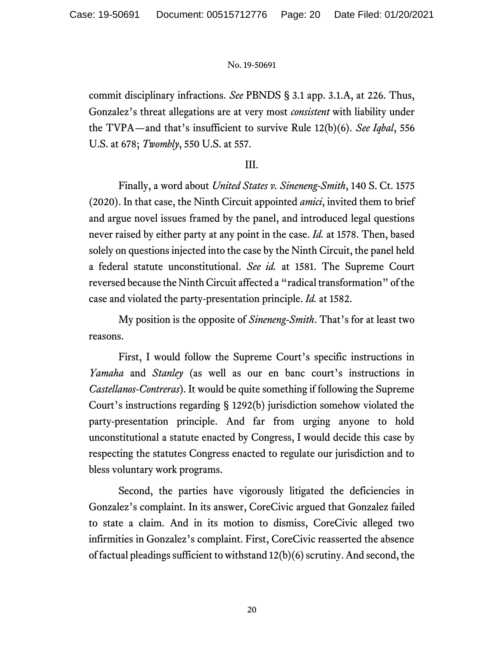commit disciplinary infractions. *See* PBNDS § 3.1 app. 3.1.A, at 226. Thus, Gonzalez's threat allegations are at very most *consistent* with liability under the TVPA—and that's insufficient to survive Rule 12(b)(6). *See Iqbal*, 556 U.S. at 678; *Twombly*, 550 U.S. at 557.

# III.

Finally, a word about *United States v. Sineneng-Smith*, 140 S. Ct. 1575 (2020). In that case, the Ninth Circuit appointed *amici*, invited them to brief and argue novel issues framed by the panel, and introduced legal questions never raised by either party at any point in the case. *Id.* at 1578. Then, based solely on questions injected into the case by the Ninth Circuit, the panel held a federal statute unconstitutional. *See id.* at 1581. The Supreme Court reversed because the Ninth Circuit affected a "radical transformation" of the case and violated the party-presentation principle. *Id.* at 1582.

My position is the opposite of *Sineneng-Smith*. That's for at least two reasons.

First, I would follow the Supreme Court's specific instructions in *Yamaha* and *Stanley* (as well as our en banc court's instructions in *Castellanos-Contreras*). It would be quite something if following the Supreme Court's instructions regarding § 1292(b) jurisdiction somehow violated the party-presentation principle. And far from urging anyone to hold unconstitutional a statute enacted by Congress, I would decide this case by respecting the statutes Congress enacted to regulate our jurisdiction and to bless voluntary work programs.

Second, the parties have vigorously litigated the deficiencies in Gonzalez's complaint. In its answer, CoreCivic argued that Gonzalez failed to state a claim. And in its motion to dismiss, CoreCivic alleged two infirmities in Gonzalez's complaint. First, CoreCivic reasserted the absence of factual pleadings sufficient to withstand 12(b)(6) scrutiny. And second, the